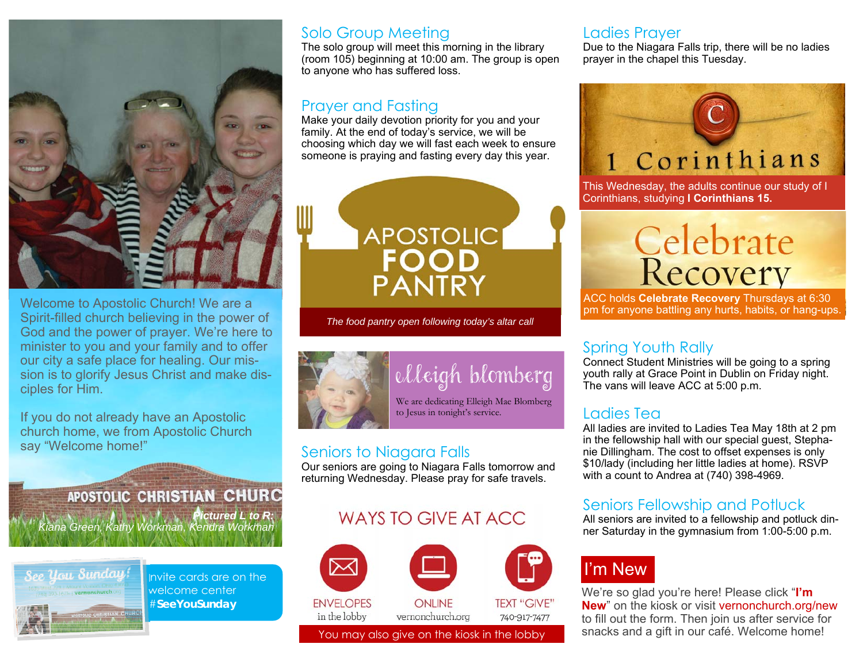

Welcome to Apostolic Church! We are a Spirit-filled church believing in the power of God and the power of prayer. We're here to minister to you and your family and to offer our city a safe place for healing. Our mission is to glorify Jesus Christ and make disciples for Him.

If you do not already have an Apostolic church home, we from Apostolic Church say "Welcome home!"

#### **APOSTOLIC CHRISTIAN CHURC** *Pictured L to R:*

*Kiana Green, Kathy Workman, Kendra Workman*



Invite cards are on the welcome center #**SeeYouSunday** 

#### Solo Group Meeting

The solo group will meet this morning in the library (room 105) beginning at 10:00 am. The group is open to anyone who has suffered loss.

#### Prayer and Fasting

Make your daily devotion priority for you and your family. At the end of today's service, we will be choosing which day we will fast each week to ensure someone is praying and fasting every day this year.



*The food pantry open following today's altar call* 



## elleigh blomberg

We are dedicating Elleigh Mae Blomberg to Jesus in tonight's service.

#### Seniors to Niagara Falls

Our seniors are going to Niagara Falls tomorrow and returning Wednesday. Please pray for safe travels.

#### WAYS TO GIVE AT ACC.



#### Ladies Prayer

Due to the Niagara Falls trip, there will be no ladies prayer in the chapel this Tuesday.



This Wednesday, the adults continue our study of I Corinthians, studying **I Corinthians 15.**

# Celebrate<br>Recovery

ACC holds **Celebrate Recovery** Thursdays at 6:30 pm for anyone battling any hurts, habits, or hang-ups.

#### Spring Youth Rally

Connect Student Ministries will be going to a spring youth rally at Grace Point in Dublin on Friday night. The vans will leave ACC at 5:00 p.m.

#### Ladies Tea

All ladies are invited to Ladies Tea May 18th at 2 pm in the fellowship hall with our special guest, Stephanie Dillingham. The cost to offset expenses is only \$10/lady (including her little ladies at home). RSVP with a count to Andrea at (740) 398-4969.

#### Seniors Fellowship and Potluck

All seniors are invited to a fellowship and potluck dinner Saturday in the gymnasium from 1:00-5:00 p.m.

## I'm New

We're so glad you're here! Please click "**I'm New**" on the kiosk or visit vernonchurch.org/new to fill out the form. Then join us after service for You may also give on the kiosk in the lobby snacks and a gift in our café. Welcome home!